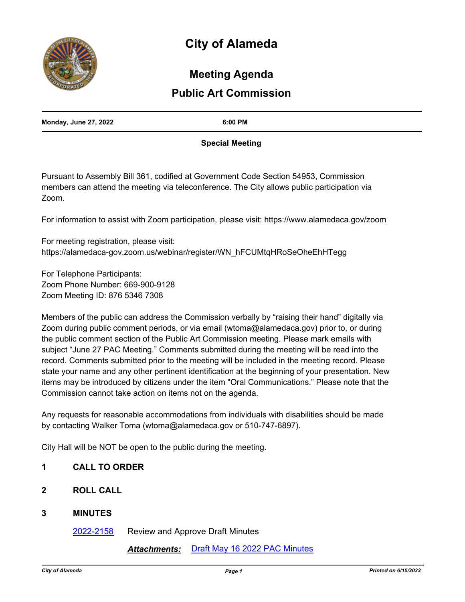# **City of Alameda**



# **Meeting Agenda**

# **Public Art Commission**

| <b>Monday, June 27, 2022</b> | 6:00 PM |
|------------------------------|---------|
|                              |         |

# **Special Meeting**

Pursuant to Assembly Bill 361, codified at Government Code Section 54953, Commission members can attend the meeting via teleconference. The City allows public participation via Zoom.

For information to assist with Zoom participation, please visit: https://www.alamedaca.gov/zoom

For meeting registration, please visit: https://alamedaca-gov.zoom.us/webinar/register/WN\_hFCUMtqHRoSeOheEhHTegg

For Telephone Participants: Zoom Phone Number: 669-900-9128 Zoom Meeting ID: 876 5346 7308

Members of the public can address the Commission verbally by "raising their hand" digitally via Zoom during public comment periods, or via email (wtoma@alamedaca.gov) prior to, or during the public comment section of the Public Art Commission meeting. Please mark emails with subject "June 27 PAC Meeting." Comments submitted during the meeting will be read into the record. Comments submitted prior to the meeting will be included in the meeting record. Please state your name and any other pertinent identification at the beginning of your presentation. New items may be introduced by citizens under the item "Oral Communications." Please note that the Commission cannot take action on items not on the agenda.

Any requests for reasonable accommodations from individuals with disabilities should be made by contacting Walker Toma (wtoma@alamedaca.gov or 510-747-6897).

City Hall will be NOT be open to the public during the meeting.

- **1 CALL TO ORDER**
- **2 ROLL CALL**
- **3 MINUTES**

[2022-2158](http://alameda.legistar.com/gateway.aspx?m=l&id=/matter.aspx?key=11935) Review and Approve Draft Minutes

# *Attachments:* [Draft May 16 2022 PAC Minutes](http://alameda.legistar.com/gateway.aspx?M=F&ID=f62d540e-32e4-45ec-835d-c22a89a07181.pdf)